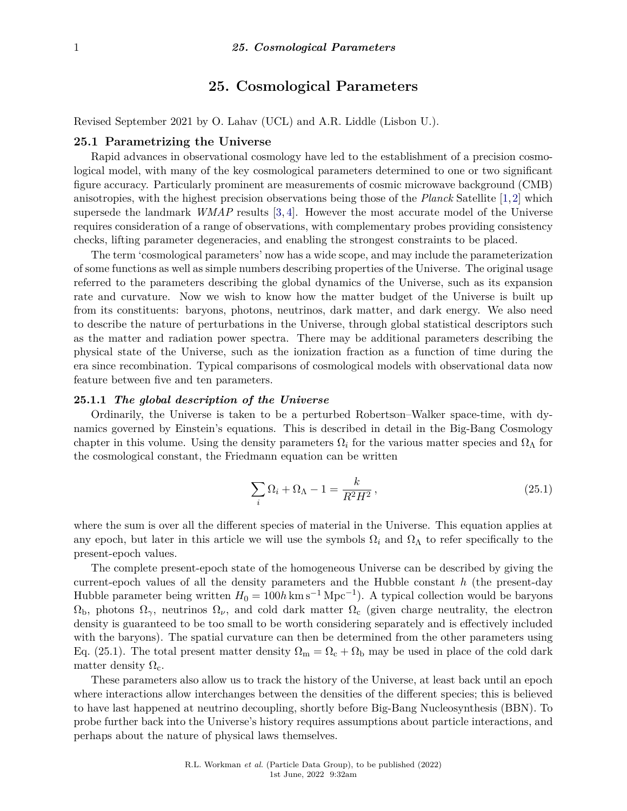# **25. Cosmological Parameters**

Revised September 2021 by O. Lahav (UCL) and A.R. Liddle (Lisbon U.).

### **25.1 Parametrizing the Universe**

Rapid advances in observational cosmology have led to the establishment of a precision cosmological model, with many of the key cosmological parameters determined to one or two significant figure accuracy. Particularly prominent are measurements of cosmic microwave background (CMB) anisotropies, with the highest precision observations being those of the *Planck* Satellite [\[1,](#page-15-0)[2\]](#page-15-1) which supersede the landmark *WMAP* results [\[3,](#page-15-2) [4\]](#page-15-3). However the most accurate model of the Universe requires consideration of a range of observations, with complementary probes providing consistency checks, lifting parameter degeneracies, and enabling the strongest constraints to be placed.

The term 'cosmological parameters' now has a wide scope, and may include the parameterization of some functions as well as simple numbers describing properties of the Universe. The original usage referred to the parameters describing the global dynamics of the Universe, such as its expansion rate and curvature. Now we wish to know how the matter budget of the Universe is built up from its constituents: baryons, photons, neutrinos, dark matter, and dark energy. We also need to describe the nature of perturbations in the Universe, through global statistical descriptors such as the matter and radiation power spectra. There may be additional parameters describing the physical state of the Universe, such as the ionization fraction as a function of time during the era since recombination. Typical comparisons of cosmological models with observational data now feature between five and ten parameters.

# **25.1.1** *The global description of the Universe*

Ordinarily, the Universe is taken to be a perturbed Robertson–Walker space-time, with dynamics governed by Einstein's equations. This is described in detail in the Big-Bang Cosmology chapter in this volume. Using the density parameters  $\Omega_i$  for the various matter species and  $\Omega_\Lambda$  for the cosmological constant, the Friedmann equation can be written

$$
\sum_{i} \Omega_i + \Omega_{\Lambda} - 1 = \frac{k}{R^2 H^2},\tag{25.1}
$$

where the sum is over all the different species of material in the Universe. This equation applies at any epoch, but later in this article we will use the symbols  $\Omega_i$  and  $\Omega_\Lambda$  to refer specifically to the present-epoch values.

The complete present-epoch state of the homogeneous Universe can be described by giving the current-epoch values of all the density parameters and the Hubble constant *h* (the present-day Hubble parameter being written  $H_0 = 100h \text{ km s}^{-1} \text{ Mpc}^{-1}$ ). A typical collection would be baryons  $\Omega_{\rm b}$ , photons  $\Omega_{\gamma}$ , neutrinos  $\Omega_{\nu}$ , and cold dark matter  $\Omega_{\rm c}$  (given charge neutrality, the electron density is guaranteed to be too small to be worth considering separately and is effectively included with the baryons). The spatial curvature can then be determined from the other parameters using Eq. (25.1). The total present matter density  $\Omega_{\rm m} = \Omega_{\rm c} + \Omega_{\rm b}$  may be used in place of the cold dark matter density  $\Omega_{c}$ .

These parameters also allow us to track the history of the Universe, at least back until an epoch where interactions allow interchanges between the densities of the different species; this is believed to have last happened at neutrino decoupling, shortly before Big-Bang Nucleosynthesis (BBN). To probe further back into the Universe's history requires assumptions about particle interactions, and perhaps about the nature of physical laws themselves.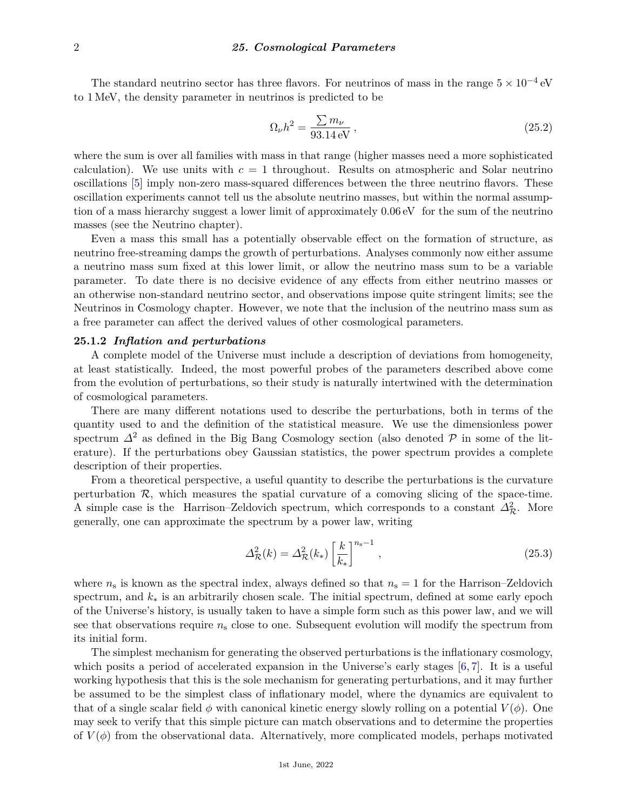The standard neutrino sector has three flavors. For neutrinos of mass in the range  $5 \times 10^{-4}$  eV to 1 MeV, the density parameter in neutrinos is predicted to be

$$
\Omega_{\nu}h^2 = \frac{\sum m_{\nu}}{93.14 \,\text{eV}},\tag{25.2}
$$

where the sum is over all families with mass in that range (higher masses need a more sophisticated calculation). We use units with  $c = 1$  throughout. Results on atmospheric and Solar neutrino oscillations [\[5\]](#page-15-4) imply non-zero mass-squared differences between the three neutrino flavors. These oscillation experiments cannot tell us the absolute neutrino masses, but within the normal assumption of a mass hierarchy suggest a lower limit of approximately 0*.*06 eV for the sum of the neutrino masses (see the Neutrino chapter).

Even a mass this small has a potentially observable effect on the formation of structure, as neutrino free-streaming damps the growth of perturbations. Analyses commonly now either assume a neutrino mass sum fixed at this lower limit, or allow the neutrino mass sum to be a variable parameter. To date there is no decisive evidence of any effects from either neutrino masses or an otherwise non-standard neutrino sector, and observations impose quite stringent limits; see the Neutrinos in Cosmology chapter. However, we note that the inclusion of the neutrino mass sum as a free parameter can affect the derived values of other cosmological parameters.

### **25.1.2** *Inflation and perturbations*

A complete model of the Universe must include a description of deviations from homogeneity, at least statistically. Indeed, the most powerful probes of the parameters described above come from the evolution of perturbations, so their study is naturally intertwined with the determination of cosmological parameters.

There are many different notations used to describe the perturbations, both in terms of the quantity used to and the definition of the statistical measure. We use the dimensionless power spectrum  $\Delta^2$  as defined in the Big Bang Cosmology section (also denoted  $\mathcal P$  in some of the literature). If the perturbations obey Gaussian statistics, the power spectrum provides a complete description of their properties.

From a theoretical perspective, a useful quantity to describe the perturbations is the curvature perturbation  $\mathcal{R}$ , which measures the spatial curvature of a comoving slicing of the space-time. A simple case is the Harrison–Zeldovich spectrum, which corresponds to a constant  $\Delta_{\mathcal{R}}^2$ . More generally, one can approximate the spectrum by a power law, writing

$$
\Delta_{\mathcal{R}}^2(k) = \Delta_{\mathcal{R}}^2(k_*) \left[ \frac{k}{k_*} \right]^{n_{\rm s}-1}, \qquad (25.3)
$$

where  $n_s$  is known as the spectral index, always defined so that  $n_s = 1$  for the Harrison–Zeldovich spectrum, and *k*<sup>∗</sup> is an arbitrarily chosen scale. The initial spectrum, defined at some early epoch of the Universe's history, is usually taken to have a simple form such as this power law, and we will see that observations require *n*<sup>s</sup> close to one. Subsequent evolution will modify the spectrum from its initial form.

The simplest mechanism for generating the observed perturbations is the inflationary cosmology, which posits a period of accelerated expansion in the Universe's early stages [\[6,](#page-15-5) [7\]](#page-15-6). It is a useful working hypothesis that this is the sole mechanism for generating perturbations, and it may further be assumed to be the simplest class of inflationary model, where the dynamics are equivalent to that of a single scalar field  $\phi$  with canonical kinetic energy slowly rolling on a potential  $V(\phi)$ . One may seek to verify that this simple picture can match observations and to determine the properties of  $V(\phi)$  from the observational data. Alternatively, more complicated models, perhaps motivated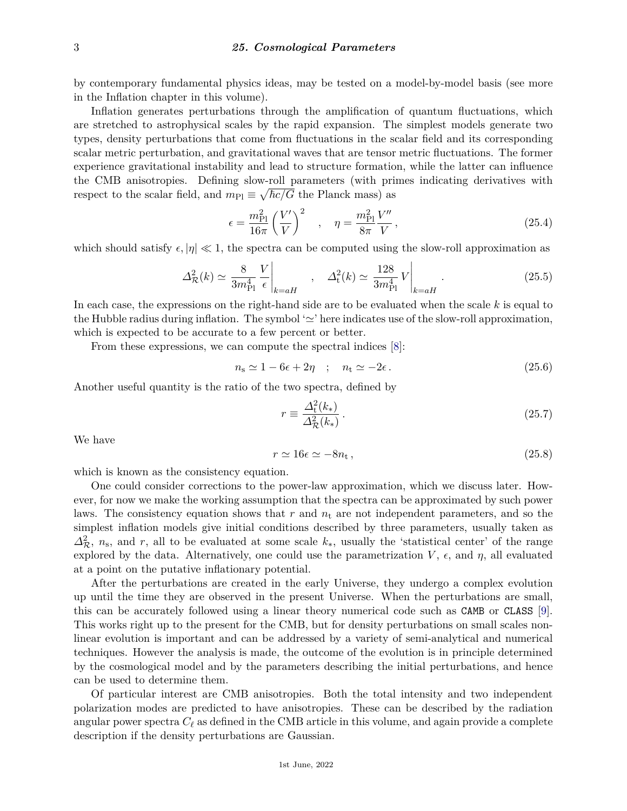by contemporary fundamental physics ideas, may be tested on a model-by-model basis (see more in the Inflation chapter in this volume).

Inflation generates perturbations through the amplification of quantum fluctuations, which are stretched to astrophysical scales by the rapid expansion. The simplest models generate two types, density perturbations that come from fluctuations in the scalar field and its corresponding scalar metric perturbation, and gravitational waves that are tensor metric fluctuations. The former experience gravitational instability and lead to structure formation, while the latter can influence the CMB anisotropies. Defining slow-roll parameters (with primes indicating derivatives with respect to the scalar field, and  $m_{\text{Pl}} \equiv \sqrt{\hbar c/G}$  the Planck mass) as

$$
\epsilon = \frac{m_{\rm Pl}^2}{16\pi} \left(\frac{V'}{V}\right)^2 \quad , \quad \eta = \frac{m_{\rm Pl}^2}{8\pi} \frac{V''}{V} \,, \tag{25.4}
$$

which should satisfy  $\epsilon, |\eta| \ll 1$ , the spectra can be computed using the slow-roll approximation as

$$
\Delta_{\mathcal{R}}^2(k) \simeq \frac{8}{3m_{\rm Pl}^4} \frac{V}{\epsilon} \bigg|_{k=aH} , \quad \Delta_{\rm t}^2(k) \simeq \frac{128}{3m_{\rm Pl}^4} V \bigg|_{k=aH} . \tag{25.5}
$$

In each case, the expressions on the right-hand side are to be evaluated when the scale *k* is equal to the Hubble radius during inflation. The symbol  $\cong$  here indicates use of the slow-roll approximation, which is expected to be accurate to a few percent or better.

From these expressions, we can compute the spectral indices  $[8]$ :

$$
n_s \simeq 1 - 6\epsilon + 2\eta \quad ; \quad n_t \simeq -2\epsilon \,. \tag{25.6}
$$

Another useful quantity is the ratio of the two spectra, defined by

$$
r \equiv \frac{\Delta_{\rm t}^2(k_*)}{\Delta_{\rm R}^2(k_*)} \,. \tag{25.7}
$$

We have

$$
r \simeq 16\epsilon \simeq -8n_{\rm t},\tag{25.8}
$$

which is known as the consistency equation.

One could consider corrections to the power-law approximation, which we discuss later. However, for now we make the working assumption that the spectra can be approximated by such power laws. The consistency equation shows that r and  $n<sub>t</sub>$  are not independent parameters, and so the simplest inflation models give initial conditions described by three parameters, usually taken as  $\Delta_{\mathcal{R}}^2$ , *n*<sub>s</sub>, and *r*, all to be evaluated at some scale  $k_*$ , usually the 'statistical center' of the range explored by the data. Alternatively, one could use the parametrization *V*,  $\epsilon$ , and  $\eta$ , all evaluated at a point on the putative inflationary potential.

After the perturbations are created in the early Universe, they undergo a complex evolution up until the time they are observed in the present Universe. When the perturbations are small, this can be accurately followed using a linear theory numerical code such as CAMB or CLASS [\[9\]](#page-15-8). This works right up to the present for the CMB, but for density perturbations on small scales nonlinear evolution is important and can be addressed by a variety of semi-analytical and numerical techniques. However the analysis is made, the outcome of the evolution is in principle determined by the cosmological model and by the parameters describing the initial perturbations, and hence can be used to determine them.

Of particular interest are CMB anisotropies. Both the total intensity and two independent polarization modes are predicted to have anisotropies. These can be described by the radiation angular power spectra  $C_{\ell}$  as defined in the CMB article in this volume, and again provide a complete description if the density perturbations are Gaussian.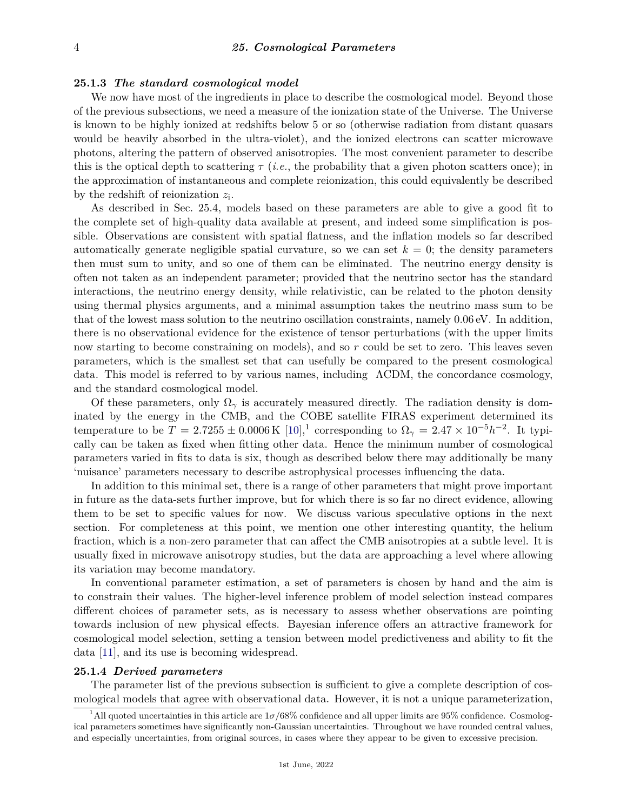# **25.1.3** *The standard cosmological model*

We now have most of the ingredients in place to describe the cosmological model. Beyond those of the previous subsections, we need a measure of the ionization state of the Universe. The Universe is known to be highly ionized at redshifts below 5 or so (otherwise radiation from distant quasars would be heavily absorbed in the ultra-violet), and the ionized electrons can scatter microwave photons, altering the pattern of observed anisotropies. The most convenient parameter to describe this is the optical depth to scattering *τ* (*i.e.*, the probability that a given photon scatters once); in the approximation of instantaneous and complete reionization, this could equivalently be described by the redshift of reionization *z*<sup>i</sup> .

As described in Sec. 25.4, models based on these parameters are able to give a good fit to the complete set of high-quality data available at present, and indeed some simplification is possible. Observations are consistent with spatial flatness, and the inflation models so far described automatically generate negligible spatial curvature, so we can set  $k = 0$ ; the density parameters then must sum to unity, and so one of them can be eliminated. The neutrino energy density is often not taken as an independent parameter; provided that the neutrino sector has the standard interactions, the neutrino energy density, while relativistic, can be related to the photon density using thermal physics arguments, and a minimal assumption takes the neutrino mass sum to be that of the lowest mass solution to the neutrino oscillation constraints, namely 0*.*06 eV. In addition, there is no observational evidence for the existence of tensor perturbations (with the upper limits now starting to become constraining on models), and so r could be set to zero. This leaves seven parameters, which is the smallest set that can usefully be compared to the present cosmological data. This model is referred to by various names, including ΛCDM, the concordance cosmology, and the standard cosmological model.

Of these parameters, only  $\Omega_{\gamma}$  is accurately measured directly. The radiation density is dominated by the energy in the CMB, and the COBE satellite FIRAS experiment determined its temperature to be  $T = 2.7255 \pm 0.0006 \,\mathrm{K}$  [\[10\]](#page-16-0),<sup>[1](#page-3-0)</sup> corresponding to  $\Omega_{\gamma} = 2.47 \times 10^{-5} h^{-2}$ . It typically can be taken as fixed when fitting other data. Hence the minimum number of cosmological parameters varied in fits to data is six, though as described below there may additionally be many 'nuisance' parameters necessary to describe astrophysical processes influencing the data.

In addition to this minimal set, there is a range of other parameters that might prove important in future as the data-sets further improve, but for which there is so far no direct evidence, allowing them to be set to specific values for now. We discuss various speculative options in the next section. For completeness at this point, we mention one other interesting quantity, the helium fraction, which is a non-zero parameter that can affect the CMB anisotropies at a subtle level. It is usually fixed in microwave anisotropy studies, but the data are approaching a level where allowing its variation may become mandatory.

In conventional parameter estimation, a set of parameters is chosen by hand and the aim is to constrain their values. The higher-level inference problem of model selection instead compares different choices of parameter sets, as is necessary to assess whether observations are pointing towards inclusion of new physical effects. Bayesian inference offers an attractive framework for cosmological model selection, setting a tension between model predictiveness and ability to fit the data [\[11\]](#page-16-1), and its use is becoming widespread.

#### **25.1.4** *Derived parameters*

The parameter list of the previous subsection is sufficient to give a complete description of cosmological models that agree with observational data. However, it is not a unique parameterization,

<span id="page-3-0"></span><sup>&</sup>lt;sup>1</sup>All quoted uncertainties in this article are  $1\sigma/68\%$  confidence and all upper limits are 95% confidence. Cosmological parameters sometimes have significantly non-Gaussian uncertainties. Throughout we have rounded central values, and especially uncertainties, from original sources, in cases where they appear to be given to excessive precision.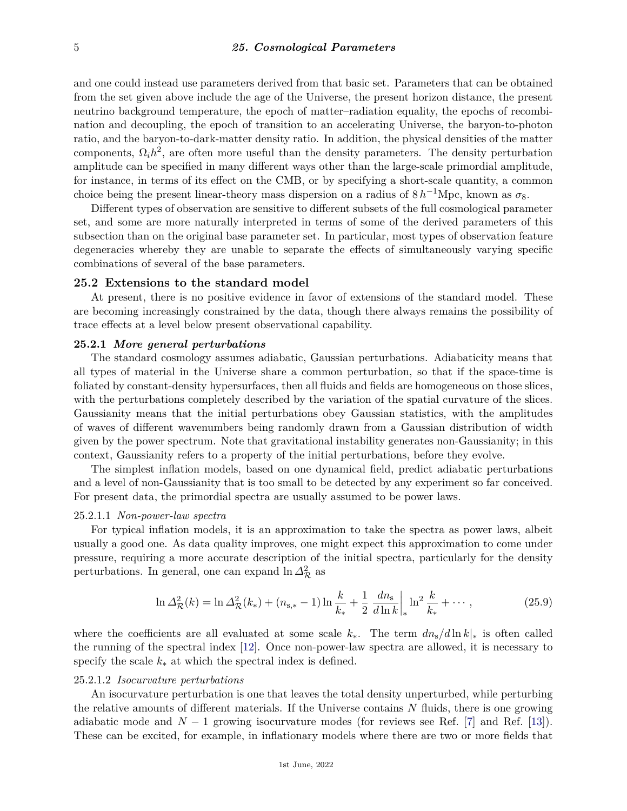and one could instead use parameters derived from that basic set. Parameters that can be obtained from the set given above include the age of the Universe, the present horizon distance, the present neutrino background temperature, the epoch of matter–radiation equality, the epochs of recombination and decoupling, the epoch of transition to an accelerating Universe, the baryon-to-photon ratio, and the baryon-to-dark-matter density ratio. In addition, the physical densities of the matter components,  $\Omega_i h^2$ , are often more useful than the density parameters. The density perturbation amplitude can be specified in many different ways other than the large-scale primordial amplitude, for instance, in terms of its effect on the CMB, or by specifying a short-scale quantity, a common choice being the present linear-theory mass dispersion on a radius of  $8 h^{-1}$ Mpc, known as  $\sigma_8$ .

Different types of observation are sensitive to different subsets of the full cosmological parameter set, and some are more naturally interpreted in terms of some of the derived parameters of this subsection than on the original base parameter set. In particular, most types of observation feature degeneracies whereby they are unable to separate the effects of simultaneously varying specific combinations of several of the base parameters.

### **25.2 Extensions to the standard model**

At present, there is no positive evidence in favor of extensions of the standard model. These are becoming increasingly constrained by the data, though there always remains the possibility of trace effects at a level below present observational capability.

### **25.2.1** *More general perturbations*

The standard cosmology assumes adiabatic, Gaussian perturbations. Adiabaticity means that all types of material in the Universe share a common perturbation, so that if the space-time is foliated by constant-density hypersurfaces, then all fluids and fields are homogeneous on those slices, with the perturbations completely described by the variation of the spatial curvature of the slices. Gaussianity means that the initial perturbations obey Gaussian statistics, with the amplitudes of waves of different wavenumbers being randomly drawn from a Gaussian distribution of width given by the power spectrum. Note that gravitational instability generates non-Gaussianity; in this context, Gaussianity refers to a property of the initial perturbations, before they evolve.

The simplest inflation models, based on one dynamical field, predict adiabatic perturbations and a level of non-Gaussianity that is too small to be detected by any experiment so far conceived. For present data, the primordial spectra are usually assumed to be power laws.

### 25.2.1.1 *Non-power-law spectra*

For typical inflation models, it is an approximation to take the spectra as power laws, albeit usually a good one. As data quality improves, one might expect this approximation to come under pressure, requiring a more accurate description of the initial spectra, particularly for the density perturbations. In general, one can expand  $\ln \Delta_{\mathcal{R}}^2$  as

$$
\ln \Delta_{\mathcal{R}}^2(k) = \ln \Delta_{\mathcal{R}}^2(k_*) + (n_{s,*} - 1) \ln \frac{k}{k_*} + \frac{1}{2} \frac{dn_s}{d\ln k} \Big|_* \ln^2 \frac{k}{k_*} + \cdots,
$$
 (25.9)

where the coefficients are all evaluated at some scale *k*∗. The term *dn*s*/d* ln *k*|<sup>∗</sup> is often called the running of the spectral index [\[12\]](#page-16-2). Once non-power-law spectra are allowed, it is necessary to specify the scale *k*<sup>∗</sup> at which the spectral index is defined.

### 25.2.1.2 *Isocurvature perturbations*

An isocurvature perturbation is one that leaves the total density unperturbed, while perturbing the relative amounts of different materials. If the Universe contains *N* fluids, there is one growing adiabatic mode and  $N-1$  growing isocurvature modes (for reviews see Ref. [\[7\]](#page-15-6) and Ref. [\[13\]](#page-16-3)). These can be excited, for example, in inflationary models where there are two or more fields that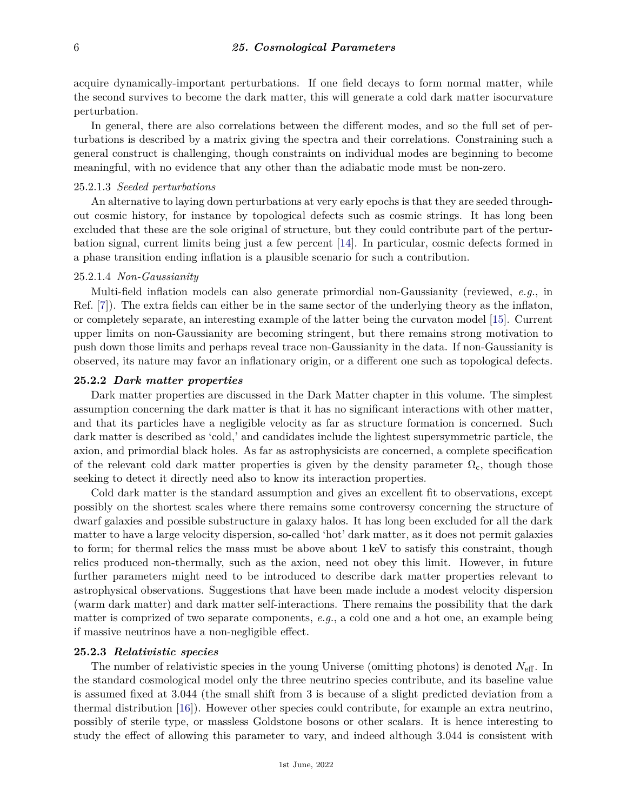acquire dynamically-important perturbations. If one field decays to form normal matter, while the second survives to become the dark matter, this will generate a cold dark matter isocurvature perturbation.

In general, there are also correlations between the different modes, and so the full set of perturbations is described by a matrix giving the spectra and their correlations. Constraining such a general construct is challenging, though constraints on individual modes are beginning to become meaningful, with no evidence that any other than the adiabatic mode must be non-zero.

# 25.2.1.3 *Seeded perturbations*

An alternative to laying down perturbations at very early epochs is that they are seeded throughout cosmic history, for instance by topological defects such as cosmic strings. It has long been excluded that these are the sole original of structure, but they could contribute part of the perturbation signal, current limits being just a few percent [\[14\]](#page-16-4). In particular, cosmic defects formed in a phase transition ending inflation is a plausible scenario for such a contribution.

# 25.2.1.4 *Non-Gaussianity*

Multi-field inflation models can also generate primordial non-Gaussianity (reviewed, *e.g.*, in Ref. [\[7\]](#page-15-6)). The extra fields can either be in the same sector of the underlying theory as the inflaton, or completely separate, an interesting example of the latter being the curvaton model [\[15\]](#page-16-5). Current upper limits on non-Gaussianity are becoming stringent, but there remains strong motivation to push down those limits and perhaps reveal trace non-Gaussianity in the data. If non-Gaussianity is observed, its nature may favor an inflationary origin, or a different one such as topological defects.

### **25.2.2** *Dark matter properties*

Dark matter properties are discussed in the Dark Matter chapter in this volume. The simplest assumption concerning the dark matter is that it has no significant interactions with other matter, and that its particles have a negligible velocity as far as structure formation is concerned. Such dark matter is described as 'cold,' and candidates include the lightest supersymmetric particle, the axion, and primordial black holes. As far as astrophysicists are concerned, a complete specification of the relevant cold dark matter properties is given by the density parameter  $\Omega_c$ , though those seeking to detect it directly need also to know its interaction properties.

Cold dark matter is the standard assumption and gives an excellent fit to observations, except possibly on the shortest scales where there remains some controversy concerning the structure of dwarf galaxies and possible substructure in galaxy halos. It has long been excluded for all the dark matter to have a large velocity dispersion, so-called 'hot' dark matter, as it does not permit galaxies to form; for thermal relics the mass must be above about 1 keV to satisfy this constraint, though relics produced non-thermally, such as the axion, need not obey this limit. However, in future further parameters might need to be introduced to describe dark matter properties relevant to astrophysical observations. Suggestions that have been made include a modest velocity dispersion (warm dark matter) and dark matter self-interactions. There remains the possibility that the dark matter is comprized of two separate components, *e.g.*, a cold one and a hot one, an example being if massive neutrinos have a non-negligible effect.

### **25.2.3** *Relativistic species*

The number of relativistic species in the young Universe (omitting photons) is denoted  $N_{\text{eff}}$ . In the standard cosmological model only the three neutrino species contribute, and its baseline value is assumed fixed at 3.044 (the small shift from 3 is because of a slight predicted deviation from a thermal distribution [\[16\]](#page-16-6)). However other species could contribute, for example an extra neutrino, possibly of sterile type, or massless Goldstone bosons or other scalars. It is hence interesting to study the effect of allowing this parameter to vary, and indeed although 3.044 is consistent with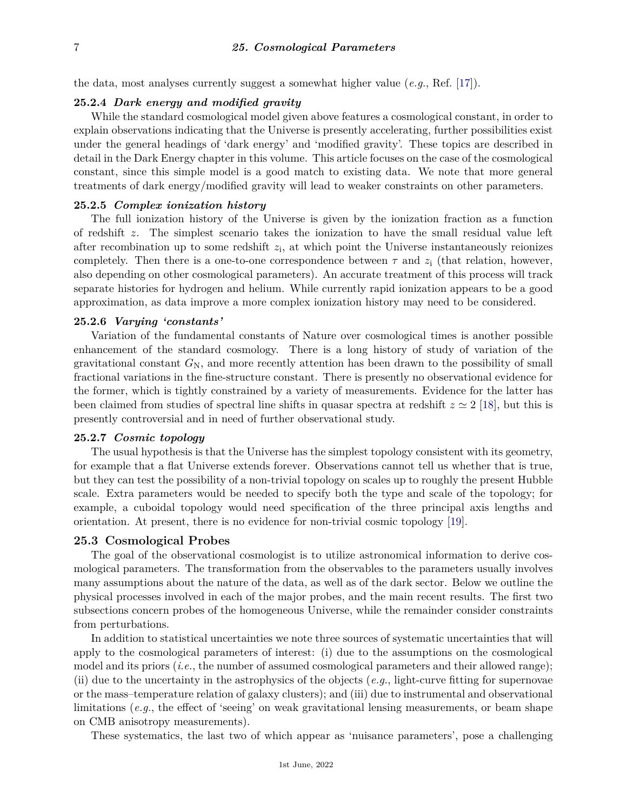the data, most analyses currently suggest a somewhat higher value (*e.g.*, Ref. [\[17\]](#page-16-7)).

# **25.2.4** *Dark energy and modified gravity*

While the standard cosmological model given above features a cosmological constant, in order to explain observations indicating that the Universe is presently accelerating, further possibilities exist under the general headings of 'dark energy' and 'modified gravity'. These topics are described in detail in the Dark Energy chapter in this volume. This article focuses on the case of the cosmological constant, since this simple model is a good match to existing data. We note that more general treatments of dark energy/modified gravity will lead to weaker constraints on other parameters.

# **25.2.5** *Complex ionization history*

The full ionization history of the Universe is given by the ionization fraction as a function of redshift *z*. The simplest scenario takes the ionization to have the small residual value left after recombination up to some redshift *z*<sup>i</sup> , at which point the Universe instantaneously reionizes completely. Then there is a one-to-one correspondence between  $\tau$  and  $z_i$  (that relation, however, also depending on other cosmological parameters). An accurate treatment of this process will track separate histories for hydrogen and helium. While currently rapid ionization appears to be a good approximation, as data improve a more complex ionization history may need to be considered.

## **25.2.6** *Varying 'constants'*

Variation of the fundamental constants of Nature over cosmological times is another possible enhancement of the standard cosmology. There is a long history of study of variation of the gravitational constant  $G_N$ , and more recently attention has been drawn to the possibility of small fractional variations in the fine-structure constant. There is presently no observational evidence for the former, which is tightly constrained by a variety of measurements. Evidence for the latter has been claimed from studies of spectral line shifts in quasar spectra at redshift  $z \approx 2$  [\[18\]](#page-16-8), but this is presently controversial and in need of further observational study.

# **25.2.7** *Cosmic topology*

The usual hypothesis is that the Universe has the simplest topology consistent with its geometry, for example that a flat Universe extends forever. Observations cannot tell us whether that is true, but they can test the possibility of a non-trivial topology on scales up to roughly the present Hubble scale. Extra parameters would be needed to specify both the type and scale of the topology; for example, a cuboidal topology would need specification of the three principal axis lengths and orientation. At present, there is no evidence for non-trivial cosmic topology [\[19\]](#page-16-9).

# **25.3 Cosmological Probes**

The goal of the observational cosmologist is to utilize astronomical information to derive cosmological parameters. The transformation from the observables to the parameters usually involves many assumptions about the nature of the data, as well as of the dark sector. Below we outline the physical processes involved in each of the major probes, and the main recent results. The first two subsections concern probes of the homogeneous Universe, while the remainder consider constraints from perturbations.

In addition to statistical uncertainties we note three sources of systematic uncertainties that will apply to the cosmological parameters of interest: (i) due to the assumptions on the cosmological model and its priors (*i.e.*, the number of assumed cosmological parameters and their allowed range); (ii) due to the uncertainty in the astrophysics of the objects (*e.g.*, light-curve fitting for supernovae or the mass–temperature relation of galaxy clusters); and (iii) due to instrumental and observational limitations (*e.g.*, the effect of 'seeing' on weak gravitational lensing measurements, or beam shape on CMB anisotropy measurements).

These systematics, the last two of which appear as 'nuisance parameters', pose a challenging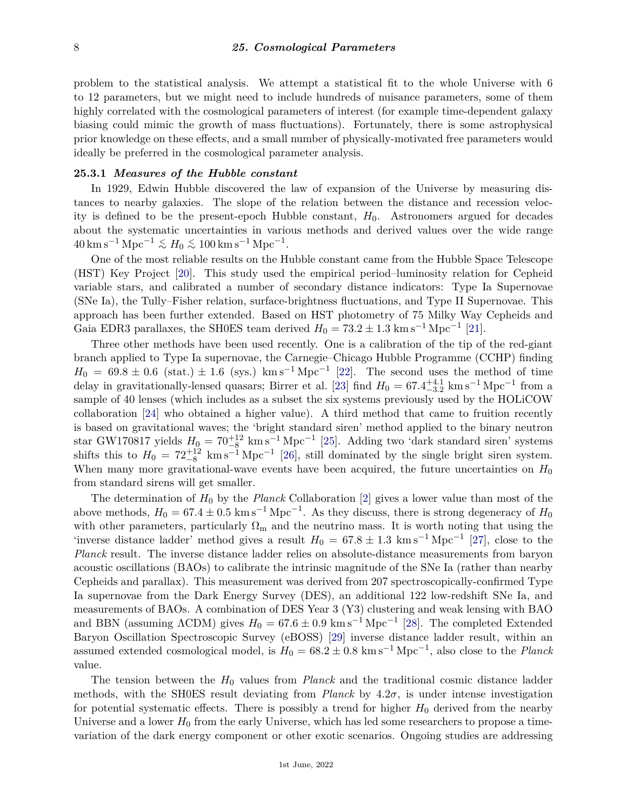problem to the statistical analysis. We attempt a statistical fit to the whole Universe with 6 to 12 parameters, but we might need to include hundreds of nuisance parameters, some of them highly correlated with the cosmological parameters of interest (for example time-dependent galaxy biasing could mimic the growth of mass fluctuations). Fortunately, there is some astrophysical prior knowledge on these effects, and a small number of physically-motivated free parameters would ideally be preferred in the cosmological parameter analysis.

# **25.3.1** *Measures of the Hubble constant*

In 1929, Edwin Hubble discovered the law of expansion of the Universe by measuring distances to nearby galaxies. The slope of the relation between the distance and recession velocity is defined to be the present-epoch Hubble constant, *H*0. Astronomers argued for decades about the systematic uncertainties in various methods and derived values over the wide range  $40 \,\mathrm{km} \,\mathrm{s}^{-1} \,\mathrm{Mpc}^{-1} \lesssim H_0 \lesssim 100 \,\mathrm{km} \,\mathrm{s}^{-1} \,\mathrm{Mpc}^{-1}.$ 

One of the most reliable results on the Hubble constant came from the Hubble Space Telescope (HST) Key Project [\[20\]](#page-16-10). This study used the empirical period–luminosity relation for Cepheid variable stars, and calibrated a number of secondary distance indicators: Type Ia Supernovae (SNe Ia), the Tully–Fisher relation, surface-brightness fluctuations, and Type II Supernovae. This approach has been further extended. Based on HST photometry of 75 Milky Way Cepheids and Gaia EDR3 parallaxes, the SH0ES team derived  $H_0 = 73.2 \pm 1.3 \text{ km s}^{-1} \text{ Mpc}^{-1}$  [\[21\]](#page-16-11).

Three other methods have been used recently. One is a calibration of the tip of the red-giant branch applied to Type Ia supernovae, the Carnegie–Chicago Hubble Programme (CCHP) finding  $H_0 = 69.8 \pm 0.6$  (stat.)  $\pm 1.6$  (sys.) km s<sup>-1</sup> Mpc<sup>-1</sup> [\[22\]](#page-16-12). The second uses the method of time delay in gravitationally-lensed quasars; Birrer et al. [\[23\]](#page-16-13) find  $H_0 = 67.4^{+4.1}_{-3.2}$  km s<sup>-1</sup> Mpc<sup>-1</sup> from a sample of 40 lenses (which includes as a subset the six systems previously used by the HOLiCOW collaboration [\[24\]](#page-16-14) who obtained a higher value). A third method that came to fruition recently is based on gravitational waves; the 'bright standard siren' method applied to the binary neutron star GW170817 yields  $H_0 = 70^{+12}_{-8}$  km s<sup>-1</sup> Mpc<sup>-1</sup> [\[25\]](#page-16-15). Adding two 'dark standard siren' systems shifts this to  $H_0 = 72_{-8}^{+12}$  km s<sup>-1</sup> Mpc<sup>-1</sup> [\[26\]](#page-16-16), still dominated by the single bright siren system. When many more gravitational-wave events have been acquired, the future uncertainties on  $H_0$ from standard sirens will get smaller.

The determination of  $H_0$  by the *Planck* Collaboration [\[2\]](#page-15-1) gives a lower value than most of the above methods,  $H_0 = 67.4 \pm 0.5 \text{ km s}^{-1} \text{ Mpc}^{-1}$ . As they discuss, there is strong degeneracy of  $H_0$ with other parameters, particularly  $\Omega_{\rm m}$  and the neutrino mass. It is worth noting that using the 'inverse distance ladder' method gives a result  $H_0 = 67.8 \pm 1.3$  km s<sup>-1</sup> Mpc<sup>-1</sup> [\[27\]](#page-16-17), close to the *Planck* result. The inverse distance ladder relies on absolute-distance measurements from baryon acoustic oscillations (BAOs) to calibrate the intrinsic magnitude of the SNe Ia (rather than nearby Cepheids and parallax). This measurement was derived from 207 spectroscopically-confirmed Type Ia supernovae from the Dark Energy Survey (DES), an additional 122 low-redshift SNe Ia, and measurements of BAOs. A combination of DES Year 3 (Y3) clustering and weak lensing with BAO and BBN (assuming  $\Lambda$ CDM) gives  $H_0 = 67.6 \pm 0.9 \text{ km s}^{-1} \text{ Mpc}^{-1}$  [\[28\]](#page-16-18). The completed Extended Baryon Oscillation Spectroscopic Survey (eBOSS) [\[29\]](#page-16-19) inverse distance ladder result, within an assumed extended cosmological model, is *H*<sup>0</sup> = 68*.*2 ± 0*.*8 km s−<sup>1</sup> Mpc−<sup>1</sup> , also close to the *Planck* value.

The tension between the *H*<sup>0</sup> values from *Planck* and the traditional cosmic distance ladder methods, with the SH0ES result deviating from *Planck* by  $4.2\sigma$ , is under intense investigation for potential systematic effects. There is possibly a trend for higher  $H_0$  derived from the nearby Universe and a lower  $H_0$  from the early Universe, which has led some researchers to propose a timevariation of the dark energy component or other exotic scenarios. Ongoing studies are addressing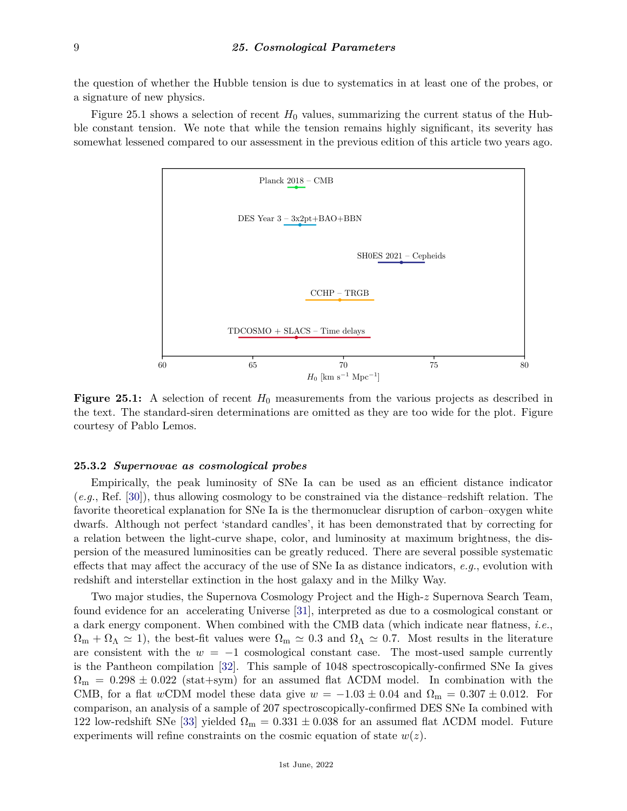the question of whether the Hubble tension is due to systematics in at least one of the probes, or a signature of new physics.

Figure 25.1 shows a selection of recent *H*<sup>0</sup> values, summarizing the current status of the Hubble constant tension. We note that while the tension remains highly significant, its severity has somewhat lessened compared to our assessment in the previous edition of this article two years ago.



**Figure 25.1:** A selection of recent  $H_0$  measurements from the various projects as described in the text. The standard-siren determinations are omitted as they are too wide for the plot. Figure courtesy of Pablo Lemos.

# **25.3.2** *Supernovae as cosmological probes*

Empirically, the peak luminosity of SNe Ia can be used as an efficient distance indicator (*e.g.*, Ref. [\[30\]](#page-16-20)), thus allowing cosmology to be constrained via the distance–redshift relation. The favorite theoretical explanation for SNe Ia is the thermonuclear disruption of carbon–oxygen white dwarfs. Although not perfect 'standard candles', it has been demonstrated that by correcting for a relation between the light-curve shape, color, and luminosity at maximum brightness, the dispersion of the measured luminosities can be greatly reduced. There are several possible systematic effects that may affect the accuracy of the use of SNe Ia as distance indicators, *e.g.*, evolution with redshift and interstellar extinction in the host galaxy and in the Milky Way.

Two major studies, the Supernova Cosmology Project and the High-*z* Supernova Search Team, found evidence for an accelerating Universe [\[31\]](#page-16-21), interpreted as due to a cosmological constant or a dark energy component. When combined with the CMB data (which indicate near flatness, *i.e.*,  $\Omega_{\rm m} + \Omega_{\Lambda} \simeq 1$ , the best-fit values were  $\Omega_{\rm m} \simeq 0.3$  and  $\Omega_{\Lambda} \simeq 0.7$ . Most results in the literature are consistent with the  $w = -1$  cosmological constant case. The most-used sample currently is the Pantheon compilation [\[32\]](#page-16-22). This sample of 1048 spectroscopically-confirmed SNe Ia gives  $\Omega_{\rm m}$  = 0.298  $\pm$  0.022 (stat+sym) for an assumed flat  $\Lambda$ CDM model. In combination with the CMB, for a flat *w*CDM model these data give  $w = -1.03 \pm 0.04$  and  $\Omega_m = 0.307 \pm 0.012$ . For comparison, an analysis of a sample of 207 spectroscopically-confirmed DES SNe Ia combined with 122 low-redshift SNe [\[33\]](#page-16-23) yielded  $\Omega_{\rm m} = 0.331 \pm 0.038$  for an assumed flat  $\Lambda$ CDM model. Future experiments will refine constraints on the cosmic equation of state  $w(z)$ .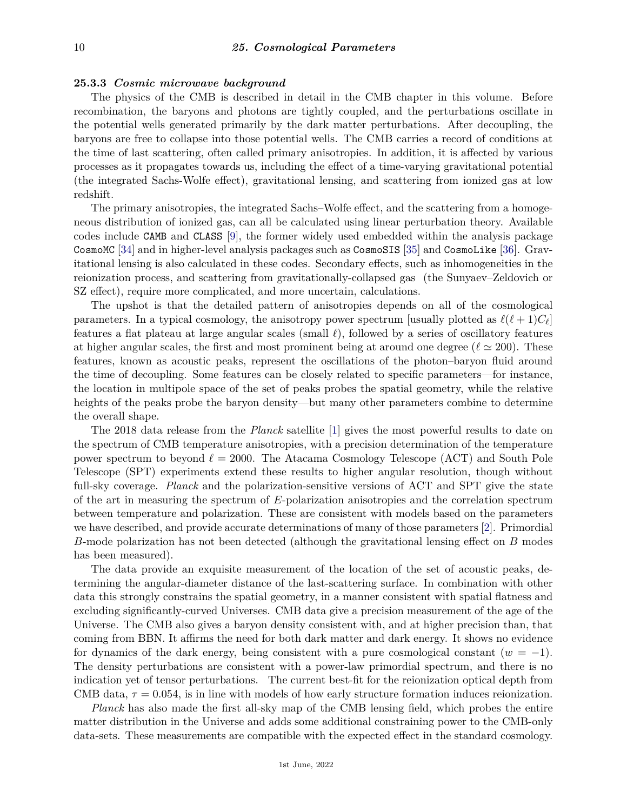# **25.3.3** *Cosmic microwave background*

The physics of the CMB is described in detail in the CMB chapter in this volume. Before recombination, the baryons and photons are tightly coupled, and the perturbations oscillate in the potential wells generated primarily by the dark matter perturbations. After decoupling, the baryons are free to collapse into those potential wells. The CMB carries a record of conditions at the time of last scattering, often called primary anisotropies. In addition, it is affected by various processes as it propagates towards us, including the effect of a time-varying gravitational potential (the integrated Sachs-Wolfe effect), gravitational lensing, and scattering from ionized gas at low redshift.

The primary anisotropies, the integrated Sachs–Wolfe effect, and the scattering from a homogeneous distribution of ionized gas, can all be calculated using linear perturbation theory. Available codes include CAMB and CLASS [\[9\]](#page-15-8), the former widely used embedded within the analysis package CosmoMC [\[34\]](#page-16-24) and in higher-level analysis packages such as CosmoSIS [\[35\]](#page-16-25) and CosmoLike [\[36\]](#page-16-26). Gravitational lensing is also calculated in these codes. Secondary effects, such as inhomogeneities in the reionization process, and scattering from gravitationally-collapsed gas (the Sunyaev–Zeldovich or SZ effect), require more complicated, and more uncertain, calculations.

The upshot is that the detailed pattern of anisotropies depends on all of the cosmological parameters. In a typical cosmology, the anisotropy power spectrum [usually plotted as  $\ell(\ell+1)C_{\ell}$ ] features a flat plateau at large angular scales (small  $\ell$ ), followed by a series of oscillatory features at higher angular scales, the first and most prominent being at around one degree ( $\ell \approx 200$ ). These features, known as acoustic peaks, represent the oscillations of the photon–baryon fluid around the time of decoupling. Some features can be closely related to specific parameters—for instance, the location in multipole space of the set of peaks probes the spatial geometry, while the relative heights of the peaks probe the baryon density—but many other parameters combine to determine the overall shape.

The 2018 data release from the *Planck* satellite [\[1\]](#page-15-0) gives the most powerful results to date on the spectrum of CMB temperature anisotropies, with a precision determination of the temperature power spectrum to beyond  $\ell = 2000$ . The Atacama Cosmology Telescope (ACT) and South Pole Telescope (SPT) experiments extend these results to higher angular resolution, though without full-sky coverage. *Planck* and the polarization-sensitive versions of ACT and SPT give the state of the art in measuring the spectrum of *E*-polarization anisotropies and the correlation spectrum between temperature and polarization. These are consistent with models based on the parameters we have described, and provide accurate determinations of many of those parameters [\[2\]](#page-15-1). Primordial *B*-mode polarization has not been detected (although the gravitational lensing effect on *B* modes has been measured).

The data provide an exquisite measurement of the location of the set of acoustic peaks, determining the angular-diameter distance of the last-scattering surface. In combination with other data this strongly constrains the spatial geometry, in a manner consistent with spatial flatness and excluding significantly-curved Universes. CMB data give a precision measurement of the age of the Universe. The CMB also gives a baryon density consistent with, and at higher precision than, that coming from BBN. It affirms the need for both dark matter and dark energy. It shows no evidence for dynamics of the dark energy, being consistent with a pure cosmological constant  $(w = -1)$ . The density perturbations are consistent with a power-law primordial spectrum, and there is no indication yet of tensor perturbations. The current best-fit for the reionization optical depth from CMB data,  $\tau = 0.054$ , is in line with models of how early structure formation induces reionization.

*Planck* has also made the first all-sky map of the CMB lensing field, which probes the entire matter distribution in the Universe and adds some additional constraining power to the CMB-only data-sets. These measurements are compatible with the expected effect in the standard cosmology.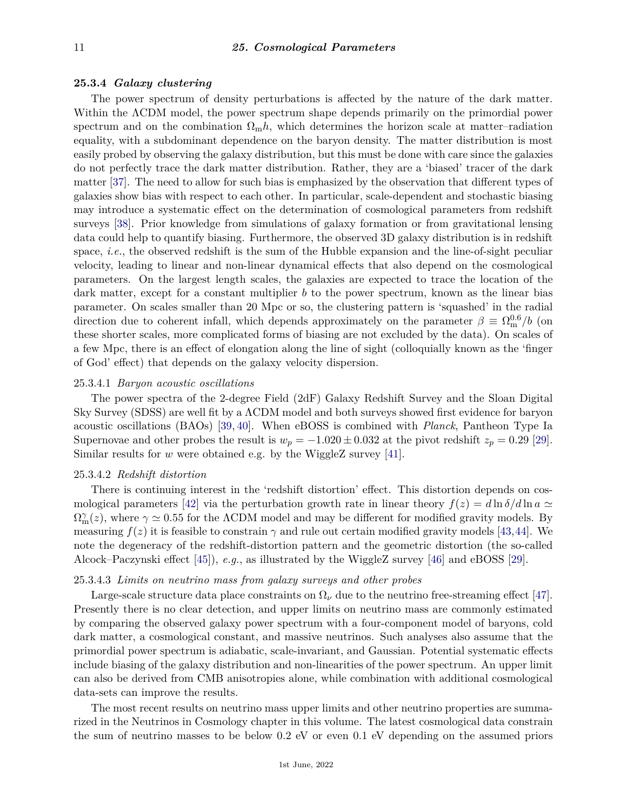# **25.3.4** *Galaxy clustering*

The power spectrum of density perturbations is affected by the nature of the dark matter. Within the ΛCDM model, the power spectrum shape depends primarily on the primordial power spectrum and on the combination  $\Omega_{\rm m}h$ , which determines the horizon scale at matter-radiation equality, with a subdominant dependence on the baryon density. The matter distribution is most easily probed by observing the galaxy distribution, but this must be done with care since the galaxies do not perfectly trace the dark matter distribution. Rather, they are a 'biased' tracer of the dark matter [\[37\]](#page-16-27). The need to allow for such bias is emphasized by the observation that different types of galaxies show bias with respect to each other. In particular, scale-dependent and stochastic biasing may introduce a systematic effect on the determination of cosmological parameters from redshift surveys [\[38\]](#page-16-28). Prior knowledge from simulations of galaxy formation or from gravitational lensing data could help to quantify biasing. Furthermore, the observed 3D galaxy distribution is in redshift space, *i.e.*, the observed redshift is the sum of the Hubble expansion and the line-of-sight peculiar velocity, leading to linear and non-linear dynamical effects that also depend on the cosmological parameters. On the largest length scales, the galaxies are expected to trace the location of the dark matter, except for a constant multiplier *b* to the power spectrum, known as the linear bias parameter. On scales smaller than 20 Mpc or so, the clustering pattern is 'squashed' in the radial direction due to coherent infall, which depends approximately on the parameter  $\beta \equiv \Omega_{\rm m}^{0.6}/b$  (on these shorter scales, more complicated forms of biasing are not excluded by the data). On scales of a few Mpc, there is an effect of elongation along the line of sight (colloquially known as the 'finger of God' effect) that depends on the galaxy velocity dispersion.

### 25.3.4.1 *Baryon acoustic oscillations*

The power spectra of the 2-degree Field (2dF) Galaxy Redshift Survey and the Sloan Digital Sky Survey (SDSS) are well fit by a ΛCDM model and both surveys showed first evidence for baryon acoustic oscillations (BAOs) [\[39,](#page-16-29) [40\]](#page-17-0). When eBOSS is combined with *Planck*, Pantheon Type Ia Supernovae and other probes the result is  $w_p = -1.020 \pm 0.032$  at the pivot redshift  $z_p = 0.29$  [\[29\]](#page-16-19). Similar results for *w* were obtained e.g. by the WiggleZ survey [\[41\]](#page-17-1).

# 25.3.4.2 *Redshift distortion*

There is continuing interest in the 'redshift distortion' effect. This distortion depends on cos-mological parameters [\[42\]](#page-17-2) via the perturbation growth rate in linear theory  $f(z) = d \ln \delta / d \ln a \simeq$  $\Omega_{\rm m}^{\gamma}(z)$ , where  $\gamma \simeq 0.55$  for the  $\Lambda$ CDM model and may be different for modified gravity models. By measuring  $f(z)$  it is feasible to constrain  $\gamma$  and rule out certain modified gravity models [\[43,](#page-17-3)[44\]](#page-17-4). We note the degeneracy of the redshift-distortion pattern and the geometric distortion (the so-called Alcock–Paczynski effect [\[45\]](#page-17-5)), *e.g.*, as illustrated by the WiggleZ survey [\[46\]](#page-17-6) and eBOSS [\[29\]](#page-16-19).

# 25.3.4.3 *Limits on neutrino mass from galaxy surveys and other probes*

Large-scale structure data place constraints on  $\Omega_{\nu}$  due to the neutrino free-streaming effect [\[47\]](#page-17-7). Presently there is no clear detection, and upper limits on neutrino mass are commonly estimated by comparing the observed galaxy power spectrum with a four-component model of baryons, cold dark matter, a cosmological constant, and massive neutrinos. Such analyses also assume that the primordial power spectrum is adiabatic, scale-invariant, and Gaussian. Potential systematic effects include biasing of the galaxy distribution and non-linearities of the power spectrum. An upper limit can also be derived from CMB anisotropies alone, while combination with additional cosmological data-sets can improve the results.

The most recent results on neutrino mass upper limits and other neutrino properties are summarized in the Neutrinos in Cosmology chapter in this volume. The latest cosmological data constrain the sum of neutrino masses to be below 0.2 eV or even 0.1 eV depending on the assumed priors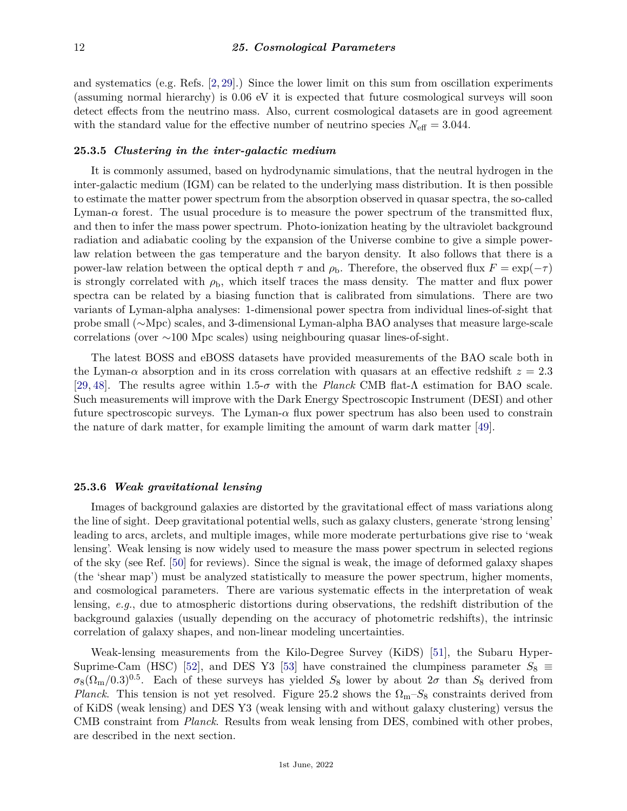and systematics (e.g. Refs. [\[2,](#page-15-1) [29\]](#page-16-19).) Since the lower limit on this sum from oscillation experiments (assuming normal hierarchy) is 0.06 eV it is expected that future cosmological surveys will soon detect effects from the neutrino mass. Also, current cosmological datasets are in good agreement with the standard value for the effective number of neutrino species  $N_{\text{eff}} = 3.044$ .

#### **25.3.5** *Clustering in the inter-galactic medium*

It is commonly assumed, based on hydrodynamic simulations, that the neutral hydrogen in the inter-galactic medium (IGM) can be related to the underlying mass distribution. It is then possible to estimate the matter power spectrum from the absorption observed in quasar spectra, the so-called Lyman- $\alpha$  forest. The usual procedure is to measure the power spectrum of the transmitted flux, and then to infer the mass power spectrum. Photo-ionization heating by the ultraviolet background radiation and adiabatic cooling by the expansion of the Universe combine to give a simple powerlaw relation between the gas temperature and the baryon density. It also follows that there is a power-law relation between the optical depth  $\tau$  and  $\rho$ <sub>b</sub>. Therefore, the observed flux  $F = \exp(-\tau)$ is strongly correlated with  $\rho_{\rm b}$ , which itself traces the mass density. The matter and flux power spectra can be related by a biasing function that is calibrated from simulations. There are two variants of Lyman-alpha analyses: 1-dimensional power spectra from individual lines-of-sight that probe small (∼Mpc) scales, and 3-dimensional Lyman-alpha BAO analyses that measure large-scale correlations (over ∼100 Mpc scales) using neighbouring quasar lines-of-sight.

The latest BOSS and eBOSS datasets have provided measurements of the BAO scale both in the Lyman-*α* absorption and in its cross correlation with quasars at an effective redshift *z* = 2*.*3 [\[29,](#page-16-19) [48\]](#page-17-8). The results agree within 1.5- $\sigma$  with the *Planck* CMB flat- $\Lambda$  estimation for BAO scale. Such measurements will improve with the Dark Energy Spectroscopic Instrument (DESI) and other future spectroscopic surveys. The Lyman- $\alpha$  flux power spectrum has also been used to constrain the nature of dark matter, for example limiting the amount of warm dark matter [\[49\]](#page-17-9).

### **25.3.6** *Weak gravitational lensing*

Images of background galaxies are distorted by the gravitational effect of mass variations along the line of sight. Deep gravitational potential wells, such as galaxy clusters, generate 'strong lensing' leading to arcs, arclets, and multiple images, while more moderate perturbations give rise to 'weak lensing'. Weak lensing is now widely used to measure the mass power spectrum in selected regions of the sky (see Ref. [\[50\]](#page-17-10) for reviews). Since the signal is weak, the image of deformed galaxy shapes (the 'shear map') must be analyzed statistically to measure the power spectrum, higher moments, and cosmological parameters. There are various systematic effects in the interpretation of weak lensing, *e.g.*, due to atmospheric distortions during observations, the redshift distribution of the background galaxies (usually depending on the accuracy of photometric redshifts), the intrinsic correlation of galaxy shapes, and non-linear modeling uncertainties.

Weak-lensing measurements from the Kilo-Degree Survey (KiDS) [\[51\]](#page-17-11), the Subaru Hyper-Suprime-Cam (HSC) [\[52\]](#page-17-12), and DES Y3 [\[53\]](#page-17-13) have constrained the clumpiness parameter  $S_8 \equiv$  $\sigma_8(\Omega_m/0.3)^{0.5}$ . Each of these surveys has yielded *S*<sub>8</sub> lower by about  $2\sigma$  than *S*<sub>8</sub> derived from *Planck*. This tension is not yet resolved. Figure 25.2 shows the  $\Omega_{\rm m}$ –*S*<sub>8</sub> constraints derived from of KiDS (weak lensing) and DES Y3 (weak lensing with and without galaxy clustering) versus the CMB constraint from *Planck*. Results from weak lensing from DES, combined with other probes, are described in the next section.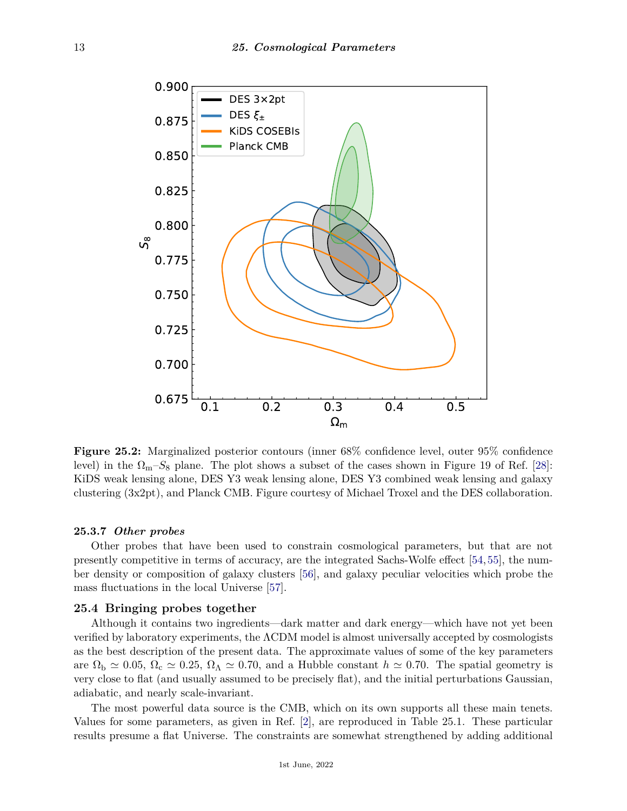

**Figure 25.2:** Marginalized posterior contours (inner 68% confidence level, outer 95% confidence level) in the  $\Omega_{\rm m}$ –*S*<sub>8</sub> plane. The plot shows a subset of the cases shown in Figure 19 of Ref. [\[28\]](#page-16-18): KiDS weak lensing alone, DES Y3 weak lensing alone, DES Y3 combined weak lensing and galaxy clustering (3x2pt), and Planck CMB. Figure courtesy of Michael Troxel and the DES collaboration.

# **25.3.7** *Other probes*

Other probes that have been used to constrain cosmological parameters, but that are not presently competitive in terms of accuracy, are the integrated Sachs-Wolfe effect [\[54,](#page-17-14)[55\]](#page-17-15), the number density or composition of galaxy clusters [\[56\]](#page-17-16), and galaxy peculiar velocities which probe the mass fluctuations in the local Universe [\[57\]](#page-17-17).

# **25.4 Bringing probes together**

Although it contains two ingredients—dark matter and dark energy—which have not yet been verified by laboratory experiments, the ΛCDM model is almost universally accepted by cosmologists as the best description of the present data. The approximate values of some of the key parameters are  $\Omega_{\rm b} \simeq 0.05$ ,  $\Omega_{\rm c} \simeq 0.25$ ,  $\Omega_{\Lambda} \simeq 0.70$ , and a Hubble constant  $h \simeq 0.70$ . The spatial geometry is very close to flat (and usually assumed to be precisely flat), and the initial perturbations Gaussian, adiabatic, and nearly scale-invariant.

The most powerful data source is the CMB, which on its own supports all these main tenets. Values for some parameters, as given in Ref. [\[2\]](#page-15-1), are reproduced in Table 25.1. These particular results presume a flat Universe. The constraints are somewhat strengthened by adding additional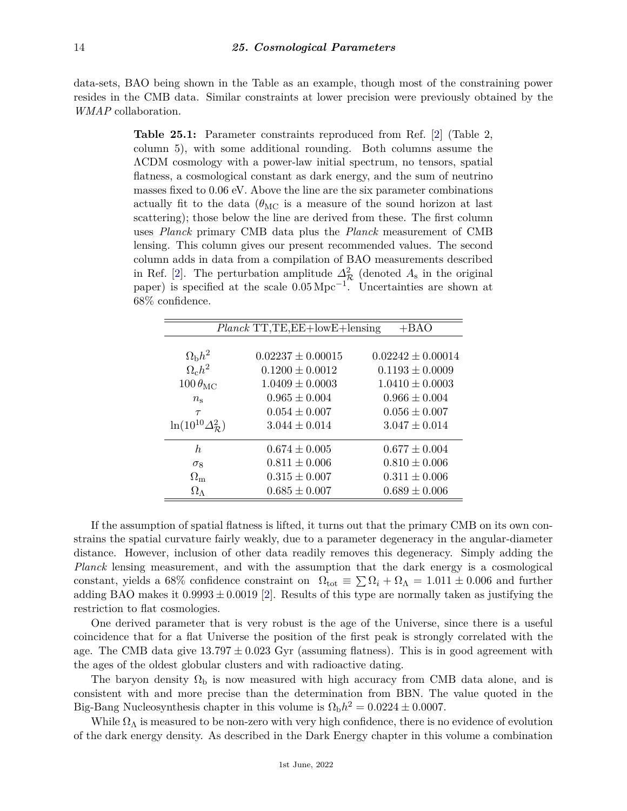data-sets, BAO being shown in the Table as an example, though most of the constraining power resides in the CMB data. Similar constraints at lower precision were previously obtained by the *WMAP* collaboration.

**Table 25.1:** Parameter constraints reproduced from Ref. [\[2\]](#page-15-1) (Table 2, column 5), with some additional rounding. Both columns assume the ΛCDM cosmology with a power-law initial spectrum, no tensors, spatial flatness, a cosmological constant as dark energy, and the sum of neutrino masses fixed to 0.06 eV. Above the line are the six parameter combinations actually fit to the data ( $\theta_{MC}$  is a measure of the sound horizon at last scattering); those below the line are derived from these. The first column uses *Planck* primary CMB data plus the *Planck* measurement of CMB lensing. This column gives our present recommended values. The second column adds in data from a compilation of BAO measurements described in Ref. [\[2\]](#page-15-1). The perturbation amplitude  $\Delta_{\mathcal{R}}^2$  (denoted  $A_s$  in the original paper) is specified at the scale  $0.05 \,\mathrm{Mpc}^{-1}$ . Uncertainties are shown at 68% confidence.

| Planck TT,TE,EE+lowE+lensing<br>$+BAO$ |                       |                       |
|----------------------------------------|-----------------------|-----------------------|
|                                        |                       |                       |
| $\Omega_{\rm b}h^2$                    | $0.02237 \pm 0.00015$ | $0.02242 \pm 0.00014$ |
| $\Omega_{\rm c}h^2$                    | $0.1200 \pm 0.0012$   | $0.1193 \pm 0.0009$   |
| $100 \, \theta_{\rm MC}$               | $1.0409 \pm 0.0003$   | $1.0410 \pm 0.0003$   |
| $n_{\rm s}$                            | $0.965 \pm 0.004$     | $0.966 \pm 0.004$     |
| $\tau$                                 | $0.054 \pm 0.007$     | $0.056 \pm 0.007$     |
| $\ln(10^{10}\Delta_{\mathcal{R}}^2)$   | $3.044 \pm 0.014$     | $3.047 \pm 0.014$     |
| h.                                     | $0.674 \pm 0.005$     | $0.677 \pm 0.004$     |
| $\sigma_8$                             | $0.811 \pm 0.006$     | $0.810 \pm 0.006$     |
| $\Omega_{\rm m}$                       | $0.315 \pm 0.007$     | $0.311 \pm 0.006$     |
| $\Omega_{\Lambda}$                     | $0.685 \pm 0.007$     | $0.689 \pm 0.006$     |

If the assumption of spatial flatness is lifted, it turns out that the primary CMB on its own constrains the spatial curvature fairly weakly, due to a parameter degeneracy in the angular-diameter distance. However, inclusion of other data readily removes this degeneracy. Simply adding the *Planck* lensing measurement, and with the assumption that the dark energy is a cosmological constant, yields a 68% confidence constraint on  $\Omega_{\text{tot}} \equiv \sum \Omega_i + \Omega_{\Lambda} = 1.011 \pm 0.006$  and further adding BAO makes it  $0.9993 \pm 0.0019$  [\[2\]](#page-15-1). Results of this type are normally taken as justifying the restriction to flat cosmologies.

One derived parameter that is very robust is the age of the Universe, since there is a useful coincidence that for a flat Universe the position of the first peak is strongly correlated with the age. The CMB data give  $13.797 \pm 0.023$  Gyr (assuming flatness). This is in good agreement with the ages of the oldest globular clusters and with radioactive dating.

The baryon density  $\Omega_{\rm b}$  is now measured with high accuracy from CMB data alone, and is consistent with and more precise than the determination from BBN. The value quoted in the Big-Bang Nucleosynthesis chapter in this volume is  $\Omega_{\rm b}h^2 = 0.0224 \pm 0.0007$ .

While  $\Omega_{\Lambda}$  is measured to be non-zero with very high confidence, there is no evidence of evolution of the dark energy density. As described in the Dark Energy chapter in this volume a combination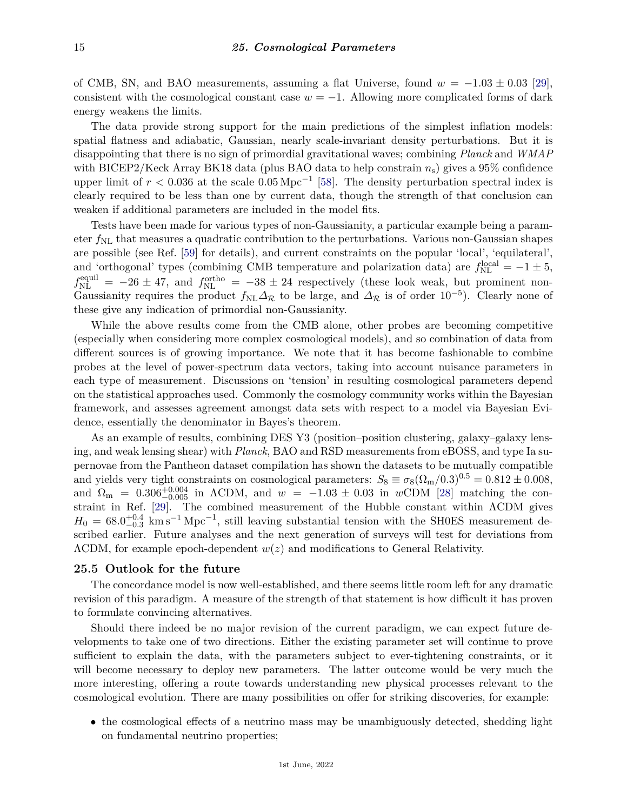of CMB, SN, and BAO measurements, assuming a flat Universe, found  $w = -1.03 \pm 0.03$  [\[29\]](#page-16-19), consistent with the cosmological constant case  $w = -1$ . Allowing more complicated forms of dark energy weakens the limits.

The data provide strong support for the main predictions of the simplest inflation models: spatial flatness and adiabatic, Gaussian, nearly scale-invariant density perturbations. But it is disappointing that there is no sign of primordial gravitational waves; combining *Planck* and *WMAP* with BICEP2/Keck Array BK18 data (plus BAO data to help constrain *n*s) gives a 95% confidence upper limit of *r <* 0*.*036 at the scale 0*.*05 Mpc−<sup>1</sup> [\[58\]](#page-17-18). The density perturbation spectral index is clearly required to be less than one by current data, though the strength of that conclusion can weaken if additional parameters are included in the model fits.

Tests have been made for various types of non-Gaussianity, a particular example being a parameter  $f_{NL}$  that measures a quadratic contribution to the perturbations. Various non-Gaussian shapes are possible (see Ref. [\[59\]](#page-17-19) for details), and current constraints on the popular 'local', 'equilateral', and 'orthogonal' types (combining CMB temperature and polarization data) are  $f_{\text{NL}}^{\text{local}} = -1 \pm 5$ ,  $f_{\text{NL}}^{\text{equil}} = -26 \pm 47$ , and  $f_{\text{NL}}^{\text{ortho}} = -38 \pm 24$  respectively (these look weak, but prominent non-Gaussianity requires the product  $f_{\rm NL}\Delta_{\mathcal{R}}$  to be large, and  $\Delta_{\mathcal{R}}$  is of order 10<sup>-5</sup>). Clearly none of these give any indication of primordial non-Gaussianity.

While the above results come from the CMB alone, other probes are becoming competitive (especially when considering more complex cosmological models), and so combination of data from different sources is of growing importance. We note that it has become fashionable to combine probes at the level of power-spectrum data vectors, taking into account nuisance parameters in each type of measurement. Discussions on 'tension' in resulting cosmological parameters depend on the statistical approaches used. Commonly the cosmology community works within the Bayesian framework, and assesses agreement amongst data sets with respect to a model via Bayesian Evidence, essentially the denominator in Bayes's theorem.

As an example of results, combining DES Y3 (position–position clustering, galaxy–galaxy lensing, and weak lensing shear) with *Planck*, BAO and RSD measurements from eBOSS, and type Ia supernovae from the Pantheon dataset compilation has shown the datasets to be mutually compatible and yields very tight constraints on cosmological parameters:  $S_8 \equiv \sigma_8(\Omega_\text{m}/0.3)^{0.5} = 0.812 \pm 0.008$ , and  $\Omega_{\rm m}$  = 0.306<sup>+0.004</sup> in  $\Lambda$ CDM, and  $w = -1.03 \pm 0.03$  in  $w$ CDM [\[28\]](#page-16-18) matching the constraint in Ref. [\[29\]](#page-16-19). The combined measurement of the Hubble constant within ΛCDM gives  $H_0 = 68.0^{+0.4}_{-0.3}$  km s<sup>-1</sup> Mpc<sup>-1</sup>, still leaving substantial tension with the SH0ES measurement described earlier. Future analyses and the next generation of surveys will test for deviations from ΛCDM, for example epoch-dependent *w*(*z*) and modifications to General Relativity.

# **25.5 Outlook for the future**

The concordance model is now well-established, and there seems little room left for any dramatic revision of this paradigm. A measure of the strength of that statement is how difficult it has proven to formulate convincing alternatives.

Should there indeed be no major revision of the current paradigm, we can expect future developments to take one of two directions. Either the existing parameter set will continue to prove sufficient to explain the data, with the parameters subject to ever-tightening constraints, or it will become necessary to deploy new parameters. The latter outcome would be very much the more interesting, offering a route towards understanding new physical processes relevant to the cosmological evolution. There are many possibilities on offer for striking discoveries, for example:

• the cosmological effects of a neutrino mass may be unambiguously detected, shedding light on fundamental neutrino properties;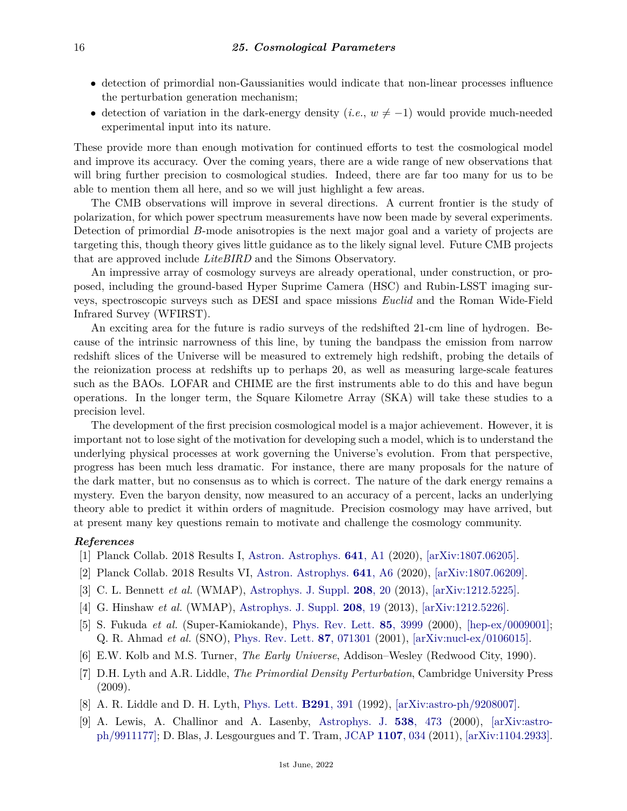- detection of primordial non-Gaussianities would indicate that non-linear processes influence the perturbation generation mechanism;
- detection of variation in the dark-energy density (*i.e.*,  $w \neq -1$ ) would provide much-needed experimental input into its nature.

These provide more than enough motivation for continued efforts to test the cosmological model and improve its accuracy. Over the coming years, there are a wide range of new observations that will bring further precision to cosmological studies. Indeed, there are far too many for us to be able to mention them all here, and so we will just highlight a few areas.

The CMB observations will improve in several directions. A current frontier is the study of polarization, for which power spectrum measurements have now been made by several experiments. Detection of primordial *B*-mode anisotropies is the next major goal and a variety of projects are targeting this, though theory gives little guidance as to the likely signal level. Future CMB projects that are approved include *LiteBIRD* and the Simons Observatory.

An impressive array of cosmology surveys are already operational, under construction, or proposed, including the ground-based Hyper Suprime Camera (HSC) and Rubin-LSST imaging surveys, spectroscopic surveys such as DESI and space missions *Euclid* and the Roman Wide-Field Infrared Survey (WFIRST).

An exciting area for the future is radio surveys of the redshifted 21-cm line of hydrogen. Because of the intrinsic narrowness of this line, by tuning the bandpass the emission from narrow redshift slices of the Universe will be measured to extremely high redshift, probing the details of the reionization process at redshifts up to perhaps 20, as well as measuring large-scale features such as the BAOs. LOFAR and CHIME are the first instruments able to do this and have begun operations. In the longer term, the Square Kilometre Array (SKA) will take these studies to a precision level.

The development of the first precision cosmological model is a major achievement. However, it is important not to lose sight of the motivation for developing such a model, which is to understand the underlying physical processes at work governing the Universe's evolution. From that perspective, progress has been much less dramatic. For instance, there are many proposals for the nature of the dark matter, but no consensus as to which is correct. The nature of the dark energy remains a mystery. Even the baryon density, now measured to an accuracy of a percent, lacks an underlying theory able to predict it within orders of magnitude. Precision cosmology may have arrived, but at present many key questions remain to motivate and challenge the cosmology community.

### <span id="page-15-0"></span>*References*

- <span id="page-15-1"></span>[1] Planck Collab. 2018 Results I, [Astron. Astrophys.](http://doi.org/10.1051/0004-6361/201833880) **641**[, A1](http://doi.org/10.1051/0004-6361/201833880) (2020), [\[arXiv:1807.06205\].](https://arxiv.org/abs/1807.06205)
- [2] Planck Collab. 2018 Results VI, [Astron. Astrophys.](http://doi.org/10.1051/0004-6361/201833910) **641**[, A6](http://doi.org/10.1051/0004-6361/201833910) (2020), [\[arXiv:1807.06209\].](https://arxiv.org/abs/1807.06209)
- <span id="page-15-2"></span>[3] C. L. Bennett *et al.* (WMAP), [Astrophys. J. Suppl.](http://doi.org/10.1088/0067-0049/208/2/20) **[208](http://doi.org/10.1088/0067-0049/208/2/20)**, 20 (2013), [\[arXiv:1212.5225\].](https://arxiv.org/abs/1212.5225)
- <span id="page-15-3"></span>[4] G. Hinshaw *et al.* (WMAP), [Astrophys. J. Suppl.](http://doi.org/10.1088/0067-0049/208/2/19) **[208](http://doi.org/10.1088/0067-0049/208/2/19)**, 19 (2013), [\[arXiv:1212.5226\].](https://arxiv.org/abs/1212.5226)
- <span id="page-15-4"></span>[5] S. Fukuda *et al.* (Super-Kamiokande), [Phys. Rev. Lett.](http://doi.org/10.1103/PhysRevLett.85.3999) **85**[, 3999](http://doi.org/10.1103/PhysRevLett.85.3999) (2000), [\[hep-ex/0009001\];](https://arxiv.org/abs/hep-ex/0009001) Q. R. Ahmad *et al.* (SNO), [Phys. Rev. Lett.](http://doi.org/10.1103/PhysRevLett.87.071301) **87**[, 071301](http://doi.org/10.1103/PhysRevLett.87.071301) (2001), [\[arXiv:nucl-ex/0106015\].](https://arxiv.org/abs/nucl-ex/0106015)
- <span id="page-15-6"></span><span id="page-15-5"></span>[6] E.W. Kolb and M.S. Turner, *The Early Universe*, Addison–Wesley (Redwood City, 1990).
- [7] D.H. Lyth and A.R. Liddle, *The Primordial Density Perturbation*, Cambridge University Press (2009).
- <span id="page-15-7"></span>[8] A. R. Liddle and D. H. Lyth, [Phys. Lett.](http://doi.org/10.1016/0370-2693(92)91393-N) **[B291](http://doi.org/10.1016/0370-2693(92)91393-N)**, 391 (1992), [\[arXiv:astro-ph/9208007\].](https://arxiv.org/abs/astro-ph/9208007)
- <span id="page-15-8"></span>[9] A. Lewis, A. Challinor and A. Lasenby, [Astrophys. J.](http://doi.org/10.1086/309179) **538**[, 473](http://doi.org/10.1086/309179) (2000), [\[arXiv:astro](https://arxiv.org/abs/astro-ph/9911177)[ph/9911177\];](https://arxiv.org/abs/astro-ph/9911177) D. Blas, J. Lesgourgues and T. Tram, [JCAP](http://doi.org/10.1088/1475-7516/2011/07/034) **[1107](http://doi.org/10.1088/1475-7516/2011/07/034)**, 034 (2011), [\[arXiv:1104.2933\].](https://arxiv.org/abs/1104.2933)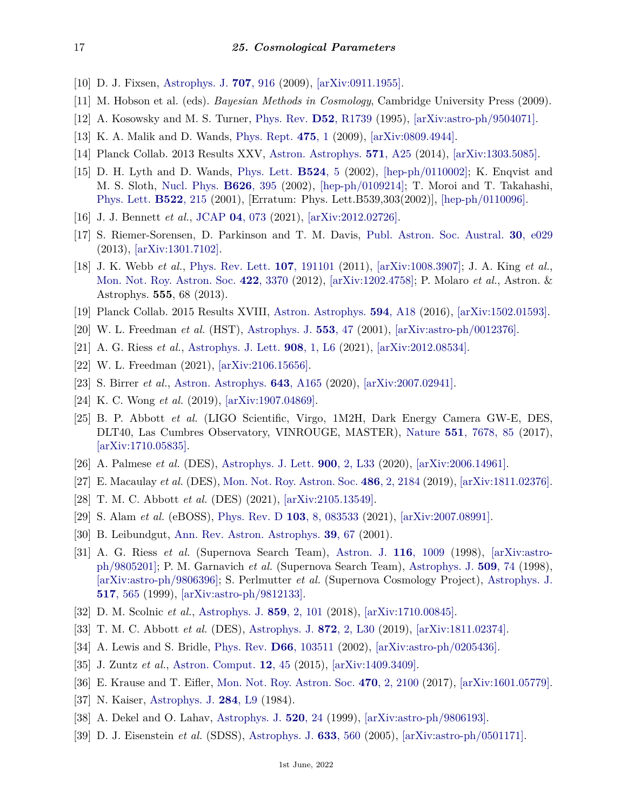- <span id="page-16-0"></span>[10] D. J. Fixsen, [Astrophys. J.](http://doi.org/10.1088/0004-637X/707/2/916) **707**[, 916](http://doi.org/10.1088/0004-637X/707/2/916) (2009), [\[arXiv:0911.1955\].](https://arxiv.org/abs/0911.1955)
- <span id="page-16-1"></span>[11] M. Hobson et al. (eds). *Bayesian Methods in Cosmology*, Cambridge University Press (2009).
- <span id="page-16-2"></span>[12] A. Kosowsky and M. S. Turner, [Phys. Rev.](http://doi.org/10.1103/PhysRevD.52.R1739) **D52**[, R1739](http://doi.org/10.1103/PhysRevD.52.R1739) (1995), [\[arXiv:astro-ph/9504071\].](https://arxiv.org/abs/astro-ph/9504071)
- <span id="page-16-3"></span>[13] K. A. Malik and D. Wands, [Phys. Rept.](http://doi.org/10.1016/j.physrep.2009.03.001) **[475](http://doi.org/10.1016/j.physrep.2009.03.001)**, 1 (2009), [\[arXiv:0809.4944\].](https://arxiv.org/abs/0809.4944)
- <span id="page-16-5"></span><span id="page-16-4"></span>[14] Planck Collab. 2013 Results XXV, [Astron. Astrophys.](http://doi.org/10.1051/0004-6361/201321621) **571**[, A25](http://doi.org/10.1051/0004-6361/201321621) (2014), [\[arXiv:1303.5085\].](https://arxiv.org/abs/1303.5085)
- [15] D. H. Lyth and D. Wands, [Phys. Lett.](http://doi.org/10.1016/S0370-2693(01)01366-1) **[B524](http://doi.org/10.1016/S0370-2693(01)01366-1)**, 5 (2002), [\[hep-ph/0110002\];](https://arxiv.org/abs/hep-ph/0110002) K. Enqvist and M. S. Sloth, [Nucl. Phys.](http://doi.org/10.1016/S0550-3213(02)00043-3) **[B626](http://doi.org/10.1016/S0550-3213(02)00043-3)**, 395 (2002), [\[hep-ph/0109214\];](https://arxiv.org/abs/hep-ph/0109214) T. Moroi and T. Takahashi, [Phys. Lett.](http://doi.org/10.1016/S0370-2693(02)02070-1) **[B522](http://doi.org/10.1016/S0370-2693(02)02070-1)**, 215 (2001), [Erratum: Phys. Lett.B539,303(2002)], [\[hep-ph/0110096\].](https://arxiv.org/abs/hep-ph/0110096)
- <span id="page-16-6"></span>[16] J. J. Bennett *et al.*, [JCAP](http://doi.org/10.1088/1475-7516/2021/04/073) **04**[, 073](http://doi.org/10.1088/1475-7516/2021/04/073) (2021), [\[arXiv:2012.02726\].](https://arxiv.org/abs/2012.02726)
- <span id="page-16-7"></span>[17] S. Riemer-Sorensen, D. Parkinson and T. M. Davis, [Publ. Astron. Soc. Austral.](http://doi.org/10.1017/pas.2013.005) **30**[, e029](http://doi.org/10.1017/pas.2013.005) (2013), [\[arXiv:1301.7102\].](https://arxiv.org/abs/1301.7102)
- <span id="page-16-8"></span>[18] J. K. Webb *et al.*, [Phys. Rev. Lett.](http://doi.org/10.1103/PhysRevLett.107.191101) **107**[, 191101](http://doi.org/10.1103/PhysRevLett.107.191101) (2011), [\[arXiv:1008.3907\];](https://arxiv.org/abs/1008.3907) J. A. King *et al.*, [Mon. Not. Roy. Astron. Soc.](http://doi.org/10.1111/j.1365-2966.2012.20852.x) **422**[, 3370](http://doi.org/10.1111/j.1365-2966.2012.20852.x) (2012), [\[arXiv:1202.4758\];](https://arxiv.org/abs/1202.4758) P. Molaro *et al.*, Astron. & Astrophys. **555**, 68 (2013).
- <span id="page-16-9"></span>[19] Planck Collab. 2015 Results XVIII, [Astron. Astrophys.](http://doi.org/10.1051/0004-6361/201525829) **594**[, A18](http://doi.org/10.1051/0004-6361/201525829) (2016), [\[arXiv:1502.01593\].](https://arxiv.org/abs/1502.01593)
- <span id="page-16-10"></span>[20] W. L. Freedman *et al.* (HST), [Astrophys. J.](http://doi.org/10.1086/320638) **[553](http://doi.org/10.1086/320638)**, 47 (2001), [\[arXiv:astro-ph/0012376\].](https://arxiv.org/abs/astro-ph/0012376)
- <span id="page-16-11"></span>[21] A. G. Riess *et al.*, [Astrophys. J. Lett.](http://doi.org/10.3847/2041-8213/abdbaf) **908**[, 1, L6](http://doi.org/10.3847/2041-8213/abdbaf) (2021), [\[arXiv:2012.08534\].](https://arxiv.org/abs/2012.08534)
- <span id="page-16-12"></span>[22] W. L. Freedman (2021), [\[arXiv:2106.15656\].](https://arxiv.org/abs/2106.15656)
- <span id="page-16-13"></span>[23] S. Birrer *et al.*, [Astron. Astrophys.](http://doi.org/10.1051/0004-6361/202038861) **643**[, A165](http://doi.org/10.1051/0004-6361/202038861) (2020), [\[arXiv:2007.02941\].](https://arxiv.org/abs/2007.02941)
- <span id="page-16-14"></span>[24] K. C. Wong *et al.* (2019), [\[arXiv:1907.04869\].](https://arxiv.org/abs/1907.04869)
- <span id="page-16-15"></span>[25] B. P. Abbott *et al.* (LIGO Scientific, Virgo, 1M2H, Dark Energy Camera GW-E, DES, DLT40, Las Cumbres Observatory, VINROUGE, MASTER), [Nature](http://doi.org/10.1038/nature24471) **551**[, 7678, 85](http://doi.org/10.1038/nature24471) (2017), [\[arXiv:1710.05835\].](https://arxiv.org/abs/1710.05835)
- <span id="page-16-17"></span><span id="page-16-16"></span>[26] A. Palmese *et al.* (DES), [Astrophys. J. Lett.](http://doi.org/10.3847/2041-8213/abaeff) **900**[, 2, L33](http://doi.org/10.3847/2041-8213/abaeff) (2020), [\[arXiv:2006.14961\].](https://arxiv.org/abs/2006.14961)
- <span id="page-16-18"></span>[27] E. Macaulay *et al.* (DES), [Mon. Not. Roy. Astron. Soc.](http://doi.org/10.1093/mnras/stz978) **486**[, 2, 2184](http://doi.org/10.1093/mnras/stz978) (2019), [\[arXiv:1811.02376\].](https://arxiv.org/abs/1811.02376)
- <span id="page-16-19"></span>[28] T. M. C. Abbott *et al.* (DES) (2021), [\[arXiv:2105.13549\].](https://arxiv.org/abs/2105.13549)
- [29] S. Alam *et al.* (eBOSS), [Phys. Rev. D](http://doi.org/10.1103/PhysRevD.103.083533) **103**[, 8, 083533](http://doi.org/10.1103/PhysRevD.103.083533) (2021), [\[arXiv:2007.08991\].](https://arxiv.org/abs/2007.08991)
- <span id="page-16-20"></span>[30] B. Leibundgut, [Ann. Rev. Astron. Astrophys.](http://doi.org/10.1146/annurev.astro.39.1.67) **39**[, 67](http://doi.org/10.1146/annurev.astro.39.1.67) (2001).
- <span id="page-16-21"></span>[31] A. G. Riess *et al.* (Supernova Search Team), [Astron. J.](http://doi.org/10.1086/300499) **116**[, 1009](http://doi.org/10.1086/300499) (1998), [\[arXiv:astro](https://arxiv.org/abs/astro-ph/9805201)[ph/9805201\];](https://arxiv.org/abs/astro-ph/9805201) P. M. Garnavich *et al.* (Supernova Search Team), [Astrophys. J.](http://doi.org/10.1086/306495) **[509](http://doi.org/10.1086/306495)**, 74 (1998), [\[arXiv:astro-ph/9806396\];](https://arxiv.org/abs/astro-ph/9806396) S. Perlmutter *et al.* (Supernova Cosmology Project), [Astrophys. J.](http://doi.org/10.1086/307221) **517**[, 565](http://doi.org/10.1086/307221) (1999), [\[arXiv:astro-ph/9812133\].](https://arxiv.org/abs/astro-ph/9812133)
- <span id="page-16-23"></span><span id="page-16-22"></span>[32] D. M. Scolnic *et al.*, [Astrophys. J.](http://doi.org/10.3847/1538-4357/aab9bb) **859**[, 2, 101](http://doi.org/10.3847/1538-4357/aab9bb) (2018), [\[arXiv:1710.00845\].](https://arxiv.org/abs/1710.00845)
- [33] T. M. C. Abbott *et al.* (DES), [Astrophys. J.](http://doi.org/10.3847/2041-8213/ab04fa) **872**[, 2, L30](http://doi.org/10.3847/2041-8213/ab04fa) (2019), [\[arXiv:1811.02374\].](https://arxiv.org/abs/1811.02374)
- <span id="page-16-24"></span>[34] A. Lewis and S. Bridle, [Phys. Rev.](http://doi.org/10.1103/PhysRevD.66.103511) **D66**[, 103511](http://doi.org/10.1103/PhysRevD.66.103511) (2002), [\[arXiv:astro-ph/0205436\].](https://arxiv.org/abs/astro-ph/0205436)
- <span id="page-16-25"></span>[35] J. Zuntz *et al.*, [Astron. Comput.](http://doi.org/10.1016/j.ascom.2015.05.005) **12**[, 45](http://doi.org/10.1016/j.ascom.2015.05.005) (2015), [\[arXiv:1409.3409\].](https://arxiv.org/abs/1409.3409)
- <span id="page-16-27"></span><span id="page-16-26"></span>[36] E. Krause and T. Eifler, [Mon. Not. Roy. Astron. Soc.](http://doi.org/10.1093/mnras/stx1261) **470**[, 2, 2100](http://doi.org/10.1093/mnras/stx1261) (2017), [\[arXiv:1601.05779\].](https://arxiv.org/abs/1601.05779)
- <span id="page-16-28"></span>[37] N. Kaiser, [Astrophys. J.](http://doi.org/10.1086/184341) **284**[, L9](http://doi.org/10.1086/184341) (1984).
- <span id="page-16-29"></span>[38] A. Dekel and O. Lahav, [Astrophys. J.](http://doi.org/10.1086/307428) **[520](http://doi.org/10.1086/307428)**, 24 (1999), [\[arXiv:astro-ph/9806193\].](https://arxiv.org/abs/astro-ph/9806193)
- [39] D. J. Eisenstein *et al.* (SDSS), [Astrophys. J.](http://doi.org/10.1086/466512) **633**[, 560](http://doi.org/10.1086/466512) (2005), [\[arXiv:astro-ph/0501171\].](https://arxiv.org/abs/astro-ph/0501171)